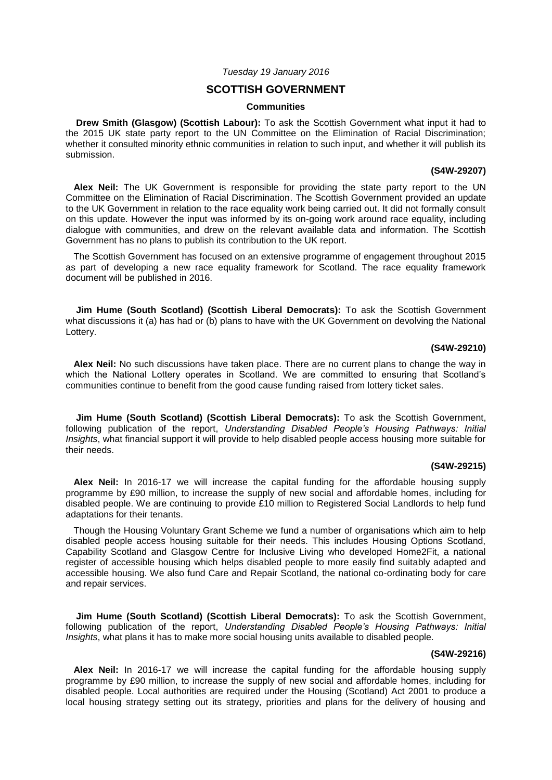# *Tuesday 19 January 2016*

# **SCOTTISH GOVERNMENT**

#### **Communities**

**Drew Smith (Glasgow) (Scottish Labour):** To ask the Scottish Government what input it had to the 2015 UK state party report to the UN Committee on the Elimination of Racial Discrimination; whether it consulted minority ethnic communities in relation to such input, and whether it will publish its submission.

#### **(S4W-29207)**

**Alex Neil:** The UK Government is responsible for providing the state party report to the UN Committee on the Elimination of Racial Discrimination. The Scottish Government provided an update to the UK Government in relation to the race equality work being carried out. It did not formally consult on this update. However the input was informed by its on-going work around race equality, including dialogue with communities, and drew on the relevant available data and information. The Scottish Government has no plans to publish its contribution to the UK report.

The Scottish Government has focused on an extensive programme of engagement throughout 2015 as part of developing a new race equality framework for Scotland. The race equality framework document will be published in 2016.

**Jim Hume (South Scotland) (Scottish Liberal Democrats):** To ask the Scottish Government what discussions it (a) has had or (b) plans to have with the UK Government on devolving the National Lottery.

### **(S4W-29210)**

**Alex Neil:** No such discussions have taken place. There are no current plans to change the way in which the National Lottery operates in Scotland. We are committed to ensuring that Scotland's communities continue to benefit from the good cause funding raised from lottery ticket sales.

**Jim Hume (South Scotland) (Scottish Liberal Democrats):** To ask the Scottish Government, following publication of the report, *Understanding Disabled People's Housing Pathways: Initial Insights*, what financial support it will provide to help disabled people access housing more suitable for their needs.

#### **(S4W-29215)**

**Alex Neil:** In 2016-17 we will increase the capital funding for the affordable housing supply programme by £90 million, to increase the supply of new social and affordable homes, including for disabled people. We are continuing to provide £10 million to Registered Social Landlords to help fund adaptations for their tenants.

Though the Housing Voluntary Grant Scheme we fund a number of organisations which aim to help disabled people access housing suitable for their needs. This includes Housing Options Scotland, Capability Scotland and Glasgow Centre for Inclusive Living who developed Home2Fit, a national register of accessible housing which helps disabled people to more easily find suitably adapted and accessible housing. We also fund Care and Repair Scotland, the national co-ordinating body for care and repair services.

**Jim Hume (South Scotland) (Scottish Liberal Democrats):** To ask the Scottish Government, following publication of the report, *Understanding Disabled People's Housing Pathways: Initial Insights*, what plans it has to make more social housing units available to disabled people.

#### **(S4W-29216)**

**Alex Neil:** In 2016-17 we will increase the capital funding for the affordable housing supply programme by £90 million, to increase the supply of new social and affordable homes, including for disabled people. Local authorities are required under the Housing (Scotland) Act 2001 to produce a local housing strategy setting out its strategy, priorities and plans for the delivery of housing and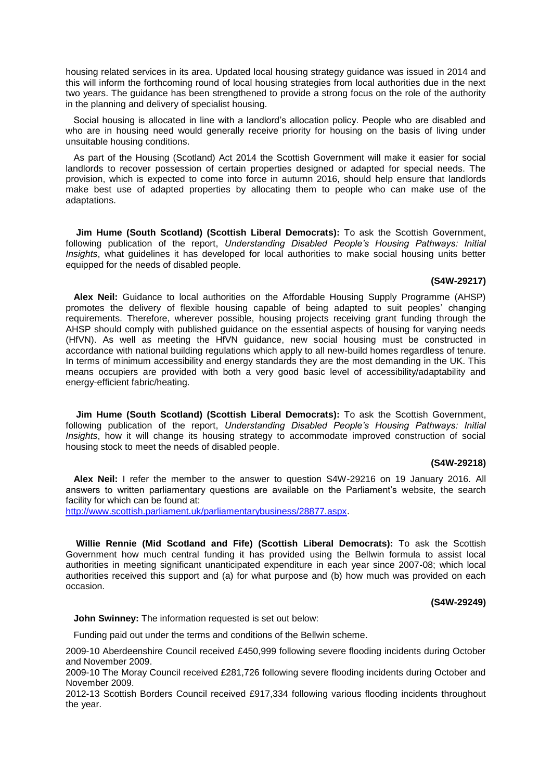housing related services in its area. Updated local housing strategy guidance was issued in 2014 and this will inform the forthcoming round of local housing strategies from local authorities due in the next two years. The guidance has been strengthened to provide a strong focus on the role of the authority in the planning and delivery of specialist housing.

Social housing is allocated in line with a landlord's allocation policy. People who are disabled and who are in housing need would generally receive priority for housing on the basis of living under unsuitable housing conditions.

As part of the Housing (Scotland) Act 2014 the Scottish Government will make it easier for social landlords to recover possession of certain properties designed or adapted for special needs. The provision, which is expected to come into force in autumn 2016, should help ensure that landlords make best use of adapted properties by allocating them to people who can make use of the adaptations.

**Jim Hume (South Scotland) (Scottish Liberal Democrats):** To ask the Scottish Government, following publication of the report, *Understanding Disabled People's Housing Pathways: Initial Insights*, what guidelines it has developed for local authorities to make social housing units better equipped for the needs of disabled people.

# **(S4W-29217)**

**Alex Neil:** Guidance to local authorities on the Affordable Housing Supply Programme (AHSP) promotes the delivery of flexible housing capable of being adapted to suit peoples' changing requirements. Therefore, wherever possible, housing projects receiving grant funding through the AHSP should comply with published guidance on the essential aspects of housing for varying needs (HfVN). As well as meeting the HfVN guidance, new social housing must be constructed in accordance with national building regulations which apply to all new-build homes regardless of tenure. In terms of minimum accessibility and energy standards they are the most demanding in the UK. This means occupiers are provided with both a very good basic level of accessibility/adaptability and energy-efficient fabric/heating.

**Jim Hume (South Scotland) (Scottish Liberal Democrats):** To ask the Scottish Government, following publication of the report, *Understanding Disabled People's Housing Pathways: Initial Insights*, how it will change its housing strategy to accommodate improved construction of social housing stock to meet the needs of disabled people.

#### **(S4W-29218)**

**Alex Neil:** I refer the member to the answer to question S4W-29216 on 19 January 2016. All answers to written parliamentary questions are available on the Parliament's website, the search facility for which can be found at:

[http://www.scottish.parliament.uk/parliamentarybusiness/28877.aspx.](http://www.scottish.parliament.uk/parliamentarybusiness/28877.aspx)

**Willie Rennie (Mid Scotland and Fife) (Scottish Liberal Democrats):** To ask the Scottish Government how much central funding it has provided using the Bellwin formula to assist local authorities in meeting significant unanticipated expenditure in each year since 2007-08; which local authorities received this support and (a) for what purpose and (b) how much was provided on each occasion.

# **(S4W-29249)**

**John Swinney:** The information requested is set out below:

Funding paid out under the terms and conditions of the Bellwin scheme.

2009-10 Aberdeenshire Council received £450,999 following severe flooding incidents during October and November 2009.

2009-10 The Moray Council received £281,726 following severe flooding incidents during October and November 2009.

2012-13 Scottish Borders Council received £917,334 following various flooding incidents throughout the year.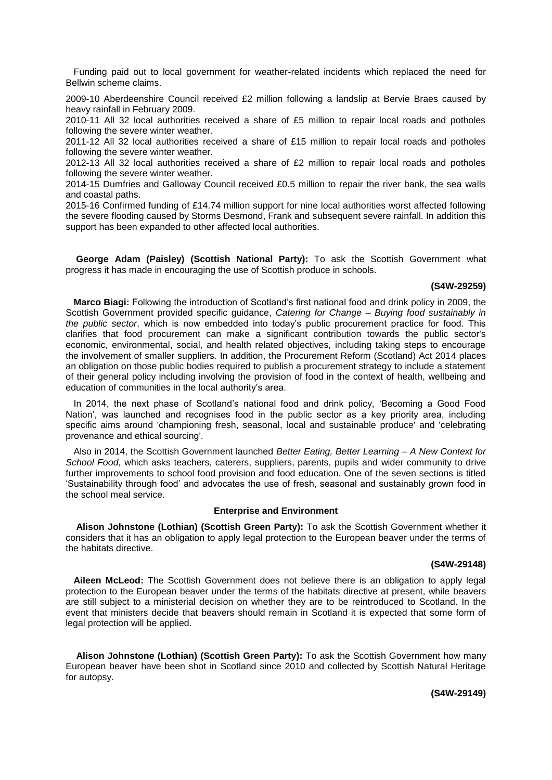Funding paid out to local government for weather-related incidents which replaced the need for Bellwin scheme claims.

2009-10 Aberdeenshire Council received £2 million following a landslip at Bervie Braes caused by heavy rainfall in February 2009.

2010-11 All 32 local authorities received a share of £5 million to repair local roads and potholes following the severe winter weather.

2011-12 All 32 local authorities received a share of £15 million to repair local roads and potholes following the severe winter weather.

2012-13 All 32 local authorities received a share of £2 million to repair local roads and potholes following the severe winter weather.

2014-15 Dumfries and Galloway Council received £0.5 million to repair the river bank, the sea walls and coastal paths.

2015-16 Confirmed funding of £14.74 million support for nine local authorities worst affected following the severe flooding caused by Storms Desmond, Frank and subsequent severe rainfall. In addition this support has been expanded to other affected local authorities.

**George Adam (Paisley) (Scottish National Party):** To ask the Scottish Government what progress it has made in encouraging the use of Scottish produce in schools.

#### **(S4W-29259)**

**Marco Biagi:** Following the introduction of Scotland's first national food and drink policy in 2009, the Scottish Government provided specific guidance, *Catering for Change – Buying food sustainably in the public sector*, which is now embedded into today's public procurement practice for food. This clarifies that food procurement can make a significant contribution towards the public sector's economic, environmental, social, and health related objectives, including taking steps to encourage the involvement of smaller suppliers. In addition, the Procurement Reform (Scotland) Act 2014 places an obligation on those public bodies required to publish a procurement strategy to include a statement of their general policy including involving the provision of food in the context of health, wellbeing and education of communities in the local authority's area.

In 2014, the next phase of Scotland's national food and drink policy, 'Becoming a Good Food Nation', was launched and recognises food in the public sector as a key priority area, including specific aims around 'championing fresh, seasonal, local and sustainable produce' and 'celebrating provenance and ethical sourcing'.

Also in 2014, the Scottish Government launched *Better Eating, Better Learning – A New Context for School Food*, which asks teachers, caterers, suppliers, parents, pupils and wider community to drive further improvements to school food provision and food education. One of the seven sections is titled 'Sustainability through food' and advocates the use of fresh, seasonal and sustainably grown food in the school meal service.

# **Enterprise and Environment**

**Alison Johnstone (Lothian) (Scottish Green Party):** To ask the Scottish Government whether it considers that it has an obligation to apply legal protection to the European beaver under the terms of the habitats directive.

# **(S4W-29148)**

**Aileen McLeod:** The Scottish Government does not believe there is an obligation to apply legal protection to the European beaver under the terms of the habitats directive at present, while beavers are still subject to a ministerial decision on whether they are to be reintroduced to Scotland. In the event that ministers decide that beavers should remain in Scotland it is expected that some form of legal protection will be applied.

**Alison Johnstone (Lothian) (Scottish Green Party):** To ask the Scottish Government how many European beaver have been shot in Scotland since 2010 and collected by Scottish Natural Heritage for autopsy.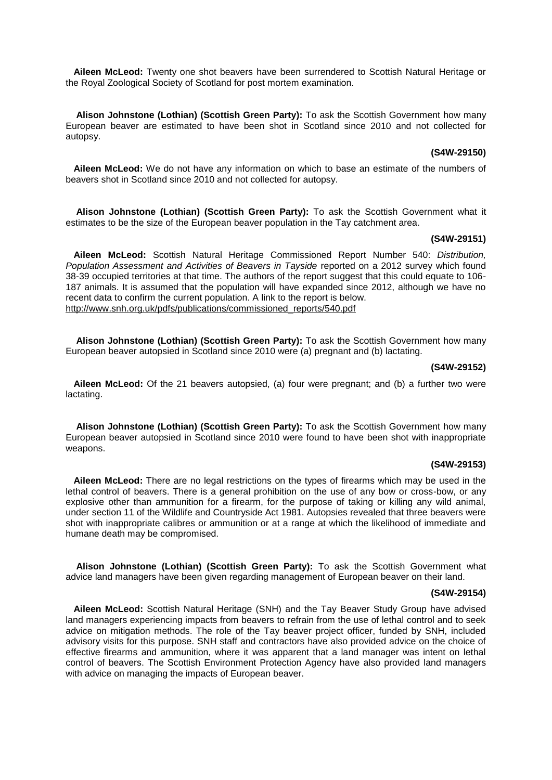**Aileen McLeod:** Twenty one shot beavers have been surrendered to Scottish Natural Heritage or the Royal Zoological Society of Scotland for post mortem examination.

**Alison Johnstone (Lothian) (Scottish Green Party):** To ask the Scottish Government how many European beaver are estimated to have been shot in Scotland since 2010 and not collected for autopsy.

# **(S4W-29150)**

**Aileen McLeod:** We do not have any information on which to base an estimate of the numbers of beavers shot in Scotland since 2010 and not collected for autopsy.

**Alison Johnstone (Lothian) (Scottish Green Party):** To ask the Scottish Government what it estimates to be the size of the European beaver population in the Tay catchment area.

# **(S4W-29151)**

**Aileen McLeod:** Scottish Natural Heritage Commissioned Report Number 540: *Distribution, Population Assessment and Activities of Beavers in Tayside* reported on a 2012 survey which found 38-39 occupied territories at that time. The authors of the report suggest that this could equate to 106- 187 animals. It is assumed that the population will have expanded since 2012, although we have no recent data to confirm the current population. A link to the report is below. [http://www.snh.org.uk/pdfs/publications/commissioned\\_reports/540.pdf](http://www.snh.org.uk/pdfs/publications/commissioned_reports/540.pdf)

**Alison Johnstone (Lothian) (Scottish Green Party):** To ask the Scottish Government how many European beaver autopsied in Scotland since 2010 were (a) pregnant and (b) lactating.

#### **(S4W-29152)**

**Aileen McLeod:** Of the 21 beavers autopsied, (a) four were pregnant; and (b) a further two were lactating.

**Alison Johnstone (Lothian) (Scottish Green Party):** To ask the Scottish Government how many European beaver autopsied in Scotland since 2010 were found to have been shot with inappropriate weapons.

# **(S4W-29153)**

**Aileen McLeod:** There are no legal restrictions on the types of firearms which may be used in the lethal control of beavers. There is a general prohibition on the use of any bow or cross-bow, or any explosive other than ammunition for a firearm, for the purpose of taking or killing any wild animal, under section 11 of the Wildlife and Countryside Act 1981. Autopsies revealed that three beavers were shot with inappropriate calibres or ammunition or at a range at which the likelihood of immediate and humane death may be compromised.

**Alison Johnstone (Lothian) (Scottish Green Party):** To ask the Scottish Government what advice land managers have been given regarding management of European beaver on their land.

#### **(S4W-29154)**

**Aileen McLeod:** Scottish Natural Heritage (SNH) and the Tay Beaver Study Group have advised land managers experiencing impacts from beavers to refrain from the use of lethal control and to seek advice on mitigation methods. The role of the Tay beaver project officer, funded by SNH, included advisory visits for this purpose. SNH staff and contractors have also provided advice on the choice of effective firearms and ammunition, where it was apparent that a land manager was intent on lethal control of beavers. The Scottish Environment Protection Agency have also provided land managers with advice on managing the impacts of European beaver.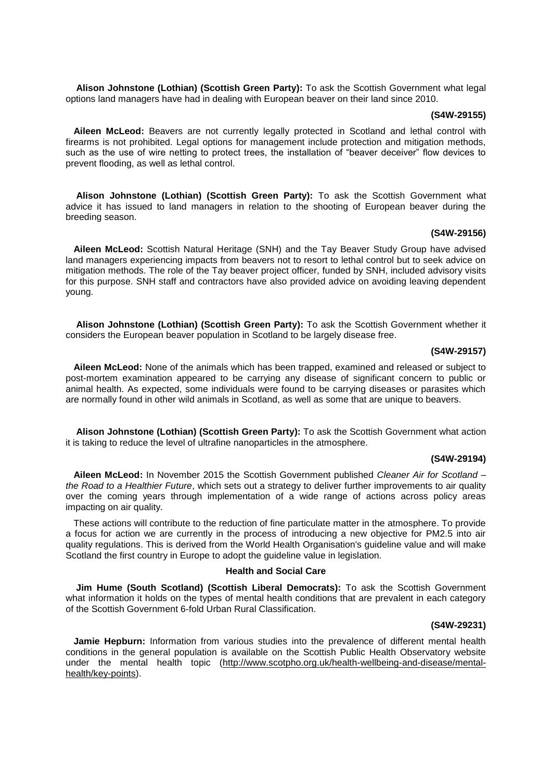**Alison Johnstone (Lothian) (Scottish Green Party):** To ask the Scottish Government what legal options land managers have had in dealing with European beaver on their land since 2010.

### **(S4W-29155)**

**Aileen McLeod:** Beavers are not currently legally protected in Scotland and lethal control with firearms is not prohibited. Legal options for management include protection and mitigation methods, such as the use of wire netting to protect trees, the installation of "beaver deceiver" flow devices to prevent flooding, as well as lethal control.

**Alison Johnstone (Lothian) (Scottish Green Party):** To ask the Scottish Government what advice it has issued to land managers in relation to the shooting of European beaver during the breeding season.

#### **(S4W-29156)**

**Aileen McLeod:** Scottish Natural Heritage (SNH) and the Tay Beaver Study Group have advised land managers experiencing impacts from beavers not to resort to lethal control but to seek advice on mitigation methods. The role of the Tay beaver project officer, funded by SNH, included advisory visits for this purpose. SNH staff and contractors have also provided advice on avoiding leaving dependent young.

**Alison Johnstone (Lothian) (Scottish Green Party):** To ask the Scottish Government whether it considers the European beaver population in Scotland to be largely disease free.

# **(S4W-29157)**

**Aileen McLeod:** None of the animals which has been trapped, examined and released or subject to post-mortem examination appeared to be carrying any disease of significant concern to public or animal health. As expected, some individuals were found to be carrying diseases or parasites which are normally found in other wild animals in Scotland, as well as some that are unique to beavers.

**Alison Johnstone (Lothian) (Scottish Green Party):** To ask the Scottish Government what action it is taking to reduce the level of ultrafine nanoparticles in the atmosphere.

# **(S4W-29194)**

**Aileen McLeod:** In November 2015 the Scottish Government published *Cleaner Air for Scotland – the Road to a Healthier Future*, which sets out a strategy to deliver further improvements to air quality over the coming years through implementation of a wide range of actions across policy areas impacting on air quality.

These actions will contribute to the reduction of fine particulate matter in the atmosphere. To provide a focus for action we are currently in the process of introducing a new objective for PM2.5 into air quality regulations. This is derived from the World Health Organisation's guideline value and will make Scotland the first country in Europe to adopt the guideline value in legislation.

# **Health and Social Care**

**Jim Hume (South Scotland) (Scottish Liberal Democrats):** To ask the Scottish Government what information it holds on the types of mental health conditions that are prevalent in each category of the Scottish Government 6-fold Urban Rural Classification.

#### **(S4W-29231)**

**Jamie Hepburn:** Information from various studies into the prevalence of different mental health conditions in the general population is available on the Scottish Public Health Observatory website under the mental health topic [\(http://www.scotpho.org.uk/health-wellbeing-and-disease/mental](http://www.scotpho.org.uk/health-wellbeing-and-disease/mental-health/key-points)[health/key-points\)](http://www.scotpho.org.uk/health-wellbeing-and-disease/mental-health/key-points).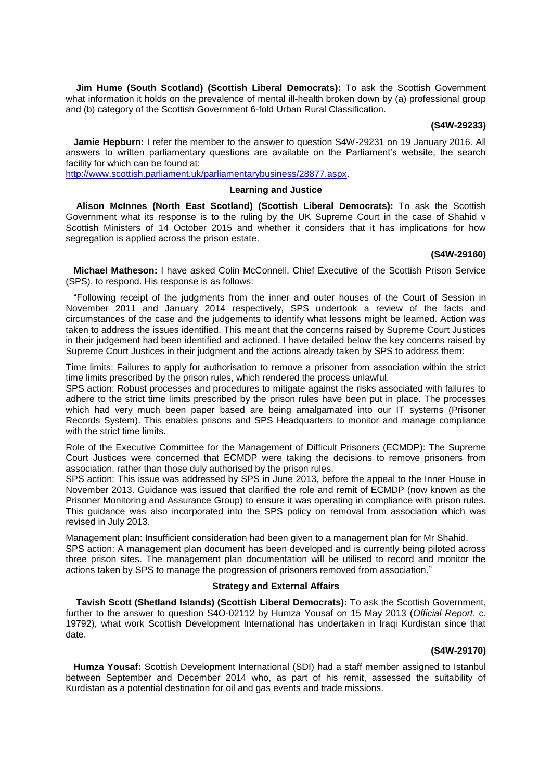**Jim Hume (South Scotland) (Scottish Liberal Democrats):** To ask the Scottish Government what information it holds on the prevalence of mental ill-health broken down by (a) professional group and (b) category of the Scottish Government 6-fold Urban Rural Classification.

### **(S4W-29233)**

**Jamie Hepburn:** I refer the member to the answer to question S4W-29231 on 19 January 2016. All answers to written parliamentary questions are available on the Parliament's website, the search facility for which can be found at:

[http://www.scottish.parliament.uk/parliamentarybusiness/28877.aspx.](http://www.scottish.parliament.uk/parliamentarybusiness/28877.aspx)

#### **Learning and Justice**

**Alison McInnes (North East Scotland) (Scottish Liberal Democrats):** To ask the Scottish Government what its response is to the ruling by the UK Supreme Court in the case of Shahid v Scottish Ministers of 14 October 2015 and whether it considers that it has implications for how segregation is applied across the prison estate.

#### **(S4W-29160)**

**Michael Matheson:** I have asked Colin McConnell, Chief Executive of the Scottish Prison Service (SPS), to respond. His response is as follows:

"Following receipt of the judgments from the inner and outer houses of the Court of Session in November 2011 and January 2014 respectively, SPS undertook a review of the facts and circumstances of the case and the judgements to identify what lessons might be learned. Action was taken to address the issues identified. This meant that the concerns raised by Supreme Court Justices in their judgement had been identified and actioned. I have detailed below the key concerns raised by Supreme Court Justices in their judgment and the actions already taken by SPS to address them:

Time limits: Failures to apply for authorisation to remove a prisoner from association within the strict time limits prescribed by the prison rules, which rendered the process unlawful.

SPS action: Robust processes and procedures to mitigate against the risks associated with failures to adhere to the strict time limits prescribed by the prison rules have been put in place. The processes which had very much been paper based are being amalgamated into our IT systems (Prisoner Records System). This enables prisons and SPS Headquarters to monitor and manage compliance with the strict time limits.

Role of the Executive Committee for the Management of Difficult Prisoners (ECMDP): The Supreme Court Justices were concerned that ECMDP were taking the decisions to remove prisoners from association, rather than those duly authorised by the prison rules.

SPS action: This issue was addressed by SPS in June 2013, before the appeal to the Inner House in November 2013. Guidance was issued that clarified the role and remit of ECMDP (now known as the Prisoner Monitoring and Assurance Group) to ensure it was operating in compliance with prison rules. This guidance was also incorporated into the SPS policy on removal from association which was revised in July 2013.

Management plan: Insufficient consideration had been given to a management plan for Mr Shahid. SPS action: A management plan document has been developed and is currently being piloted across three prison sites. The management plan documentation will be utilised to record and monitor the actions taken by SPS to manage the progression of prisoners removed from association."

# **Strategy and External Affairs**

**Tavish Scott (Shetland Islands) (Scottish Liberal Democrats):** To ask the Scottish Government, further to the answer to question S4O-02112 by Humza Yousaf on 15 May 2013 (*Official Report*, c. 19792), what work Scottish Development International has undertaken in Iraqi Kurdistan since that date.

#### **(S4W-29170)**

**Humza Yousaf:** Scottish Development International (SDI) had a staff member assigned to Istanbul between September and December 2014 who, as part of his remit, assessed the suitability of Kurdistan as a potential destination for oil and gas events and trade missions.